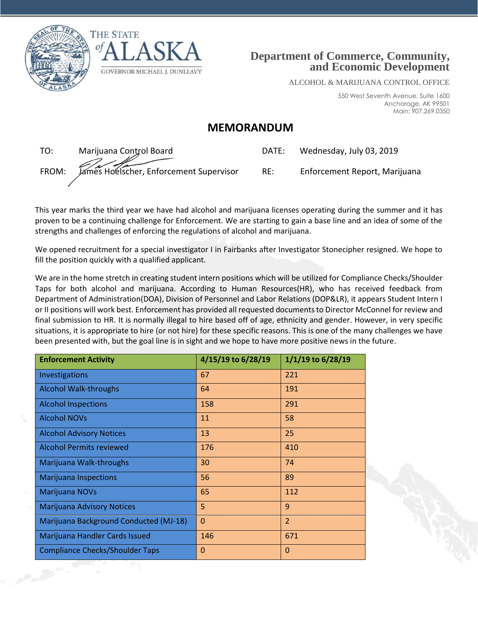





ALCOHOL & MARIJUANA CONTROL OFFICE

550 West Seventh Avenue, Suite 1600 Anchorage, AK 99501 Main: 907.269.0350

## **MEMORANDUM**

TO: Marijuana Control Board DATE: Wednesday, July 03, 2019 FROM: James Hoelscher, Enforcement Supervisor RE: Enforcement Report, Marijuana

| 78 I E. | wednesday, July US, 2019 |  |
|---------|--------------------------|--|
|         |                          |  |

This year marks the third year we have had alcohol and marijuana licenses operating during the summer and it has proven to be a continuing challenge for Enforcement. We are starting to gain a base line and an idea of some of the strengths and challenges of enforcing the regulations of alcohol and marijuana.

We opened recruitment for a special investigator I in Fairbanks after Investigator Stonecipher resigned. We hope to fill the position quickly with a qualified applicant.

We are in the home stretch in creating student intern positions which will be utilized for Compliance Checks/Shoulder Taps for both alcohol and marijuana. According to Human Resources(HR), who has received feedback from Department of Administration(DOA), Division of Personnel and Labor Relations (DOP&LR), it appears Student Intern I or II positions will work best. Enforcement has provided all requested documents to Director McConnel for review and final submission to HR. It is normally illegal to hire based off of age, ethnicity and gender. However, in very specific situations, it is appropriate to hire (or not hire) for these specific reasons. This is one of the many challenges we have been presented with, but the goal line is in sight and we hope to have more positive news in the future.

| <b>Enforcement Activity</b>            | 4/15/19 to 6/28/19 | 1/1/19 to 6/28/19 |
|----------------------------------------|--------------------|-------------------|
| Investigations                         | 67                 | 221               |
| <b>Alcohol Walk-throughs</b>           | 64                 | 191               |
| <b>Alcohol Inspections</b>             | 158                | 291               |
| <b>Alcohol NOVs</b>                    | 11                 | 58                |
| <b>Alcohol Advisory Notices</b>        | 13                 | 25                |
| <b>Alcohol Permits reviewed</b>        | 176                | 410               |
| Marijuana Walk-throughs                | 30                 | 74                |
| <b>Marijuana Inspections</b>           | 56                 | 89                |
| Marijuana NOVs                         | 65                 | 112               |
| <b>Marijuana Advisory Notices</b>      | 5                  | 9                 |
| Marijuana Background Conducted (MJ-18) | $\Omega$           | $\overline{2}$    |
| Marijuana Handler Cards Issued         | 146                | 671               |
| <b>Compliance Checks/Shoulder Taps</b> | $\mathbf 0$        | 0                 |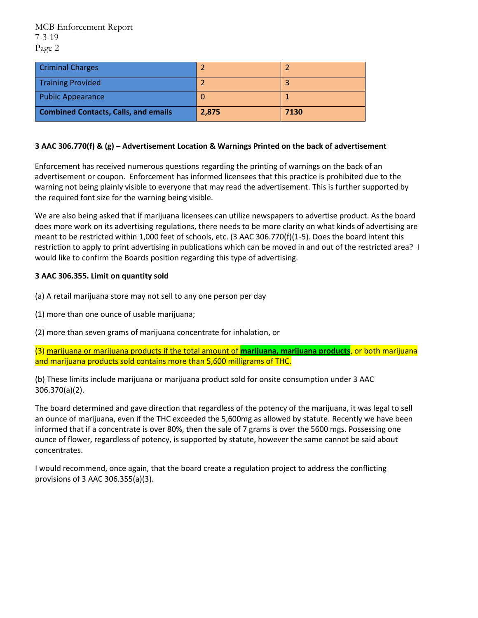| <b>Criminal Charges</b>                     |       |      |
|---------------------------------------------|-------|------|
| <b>Training Provided</b>                    |       |      |
| <b>Public Appearance</b>                    |       |      |
| <b>Combined Contacts, Calls, and emails</b> | 2,875 | 7130 |

## **3 AAC 306.770(f) & (g) – Advertisement Location & Warnings Printed on the back of advertisement**

Enforcement has received numerous questions regarding the printing of warnings on the back of an advertisement or coupon. Enforcement has informed licensees that this practice is prohibited due to the warning not being plainly visible to everyone that may read the advertisement. This is further supported by the required font size for the warning being visible.

We are also being asked that if marijuana licensees can utilize newspapers to advertise product. As the board does more work on its advertising regulations, there needs to be more clarity on what kinds of advertising are meant to be restricted within 1,000 feet of schools, etc. (3 AAC 306.770(f)(1-5). Does the board intent this restriction to apply to print advertising in publications which can be moved in and out of the restricted area? I would like to confirm the Boards position regarding this type of advertising.

## **3 AAC 306.355. Limit on quantity sold**

- (a) A retail marijuana store may not sell to any one person per day
- (1) more than one ounce of usable marijuana;
- (2) more than seven grams of marijuana concentrate for inhalation, or
- (3) marijuana or marijuana products if the total amount of **marijuana, marijuana products**, or both marijuana and marijuana products sold contains more than 5,600 milligrams of THC.

(b) These limits include marijuana or marijuana product sold for onsite consumption under 3 AAC 306.370(a)(2).

The board determined and gave direction that regardless of the potency of the marijuana, it was legal to sell an ounce of marijuana, even if the THC exceeded the 5,600mg as allowed by statute. Recently we have been informed that if a concentrate is over 80%, then the sale of 7 grams is over the 5600 mgs. Possessing one ounce of flower, regardless of potency, is supported by statute, however the same cannot be said about concentrates.

I would recommend, once again, that the board create a regulation project to address the conflicting provisions of 3 AAC 306.355(a)(3).